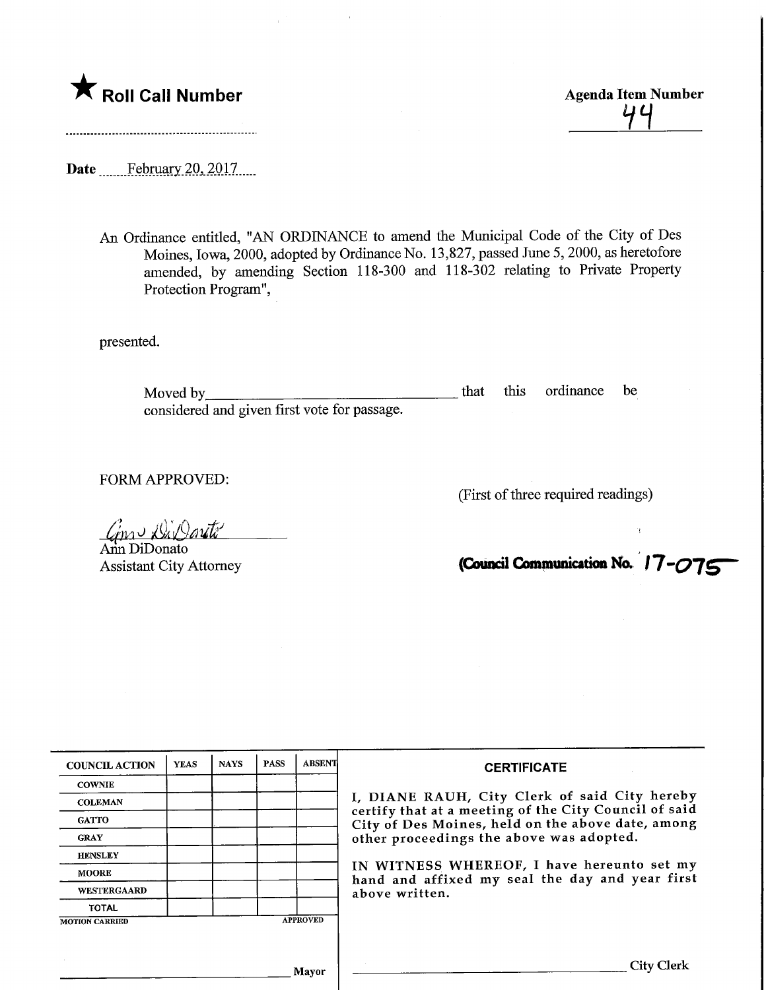

44<br>1

Date **.........February 20, 2017**....

An Ordinance entitled, "AN ORDINANCE to amend the Municipal Code of the City of Des Moines, Iowa, 2000, adopted by Ordinance No. 13,827, passed June 5,2000, as heretofore amended, by amending Section 118-300 and 118-302 relating to Private Property Protection Program",

presented.

Moved by that this ordinance be considered and given first vote for passage.

FORM APPROVED:

(First of three required readings)

 $\emph{out}^{\prime}$ 

Ann DiDonato Assistant City Attorney

(Council Communication No. <sup>17-</sup>075

| <b>COUNCIL ACTION</b> | <b>YEAS</b> | <b>NAYS</b> | <b>PASS</b> | <b>ABSENT</b>   | <b>CERTIFICATE</b>                                                                                                                                                                                      |
|-----------------------|-------------|-------------|-------------|-----------------|---------------------------------------------------------------------------------------------------------------------------------------------------------------------------------------------------------|
| <b>COWNIE</b>         |             |             |             |                 | I, DIANE RAUH, City Clerk of said City hereby<br>certify that at a meeting of the City Council of said<br>City of Des Moines, held on the above date, among<br>other proceedings the above was adopted. |
| <b>COLEMAN</b>        |             |             |             |                 |                                                                                                                                                                                                         |
| <b>GATTO</b>          |             |             |             |                 |                                                                                                                                                                                                         |
| <b>GRAY</b>           |             |             |             |                 |                                                                                                                                                                                                         |
| <b>HENSLEY</b>        |             |             |             |                 |                                                                                                                                                                                                         |
| <b>MOORE</b>          |             |             |             |                 | IN WITNESS WHEREOF, I have hereunto set my<br>hand and affixed my seal the day and year first<br>above written.                                                                                         |
| <b>WESTERGAARD</b>    |             |             |             |                 |                                                                                                                                                                                                         |
| <b>TOTAL</b>          |             |             |             |                 |                                                                                                                                                                                                         |
| <b>MOTION CARRIED</b> |             |             |             | <b>APPROVED</b> |                                                                                                                                                                                                         |
|                       |             |             |             |                 |                                                                                                                                                                                                         |
|                       |             |             |             |                 |                                                                                                                                                                                                         |
| Mayor                 |             |             |             |                 | <b>City Clerk</b>                                                                                                                                                                                       |
|                       |             |             |             |                 |                                                                                                                                                                                                         |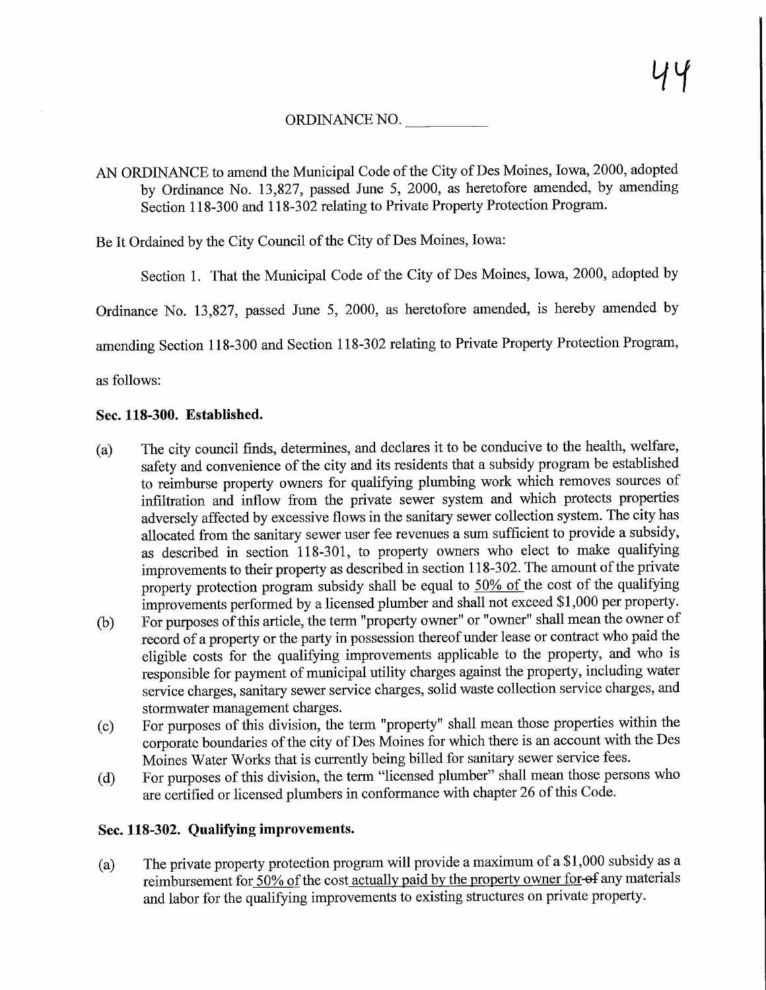ORDINANCE NO.

AN ORDINANCE to amend the Municipal Code of the City of Des Moines, Iowa, 2000, adopted by Ordinance No. 13,827, passed June 5, 2000, as heretofore amended, by amending Section 118-300 and 118-302 relating to Private Property Protection Program.

Be It Ordained by the City Council of the City of Des Moines, Iowa:

Section 1. That the Municipal Code of the City of Des Moines, Iowa, 2000, adopted by

Ordinance No. 13,827, passed June 5, 2000, as heretofore amended, is hereby amended by

amending Section 118-300 and Section 118-302 relating to Private Property Protection Program,

as follows:

## Sec. 118-300. Established.

- (a) The city council finds, determines, and declares it to be conducive to the health, welfare, safety and convenience of the city and its residents that a subsidy program be established to reimburse property owners for qualifying plumbing work which removes sources of infiltration and inflow firom the private sewer system and which protects properties adversely affected by excessive flows in the sanitary sewer collection system. The city has allocated from the sanitary sewer user fee revenues a sum sufficient to provide a subsidy, as described in section 118-301, to property owners who elect to make qualifying improvements to their property as described in section 118-302. The amount of the private property protection program subsidy shall be equal to 50% of the cost of the qualifying improvements performed by a licensed plumber and shall not exceed \$1,000 per property.
- (b) For purposes of this article, the term "property owner" or "owner" shall mean the owner of record of a property or the party in possession thereof under lease or contract who paid the eligible costs for the qualifying improvements applicable to the property, and who is responsible for payment of municipal utility charges against the property, including water service charges, sanitary sewer service charges, solid waste collection service charges, and stormwater management charges.
- (c) For purposes of this division, the term "property" shall mean those properties within the corporate boundaries of the city of Des Moines for which there is an account with the Des Moines Water Works that is currently being billed for sanitary sewer service fees.
- (d) For purposes of this division, the term "licensed plumber" shall mean those persons who are certified or licensed plumbers in conformance with chapter 26 of this Code.

## Sec. 118-302. Qualifying improvements.

(a) The private property protection program will provide a maximum of a  $$1,000$  subsidy as a reimbursement for 50% of the cost actually paid by the property owner for-ef any materials and labor for the qualifying improvements to existing structures on private property.